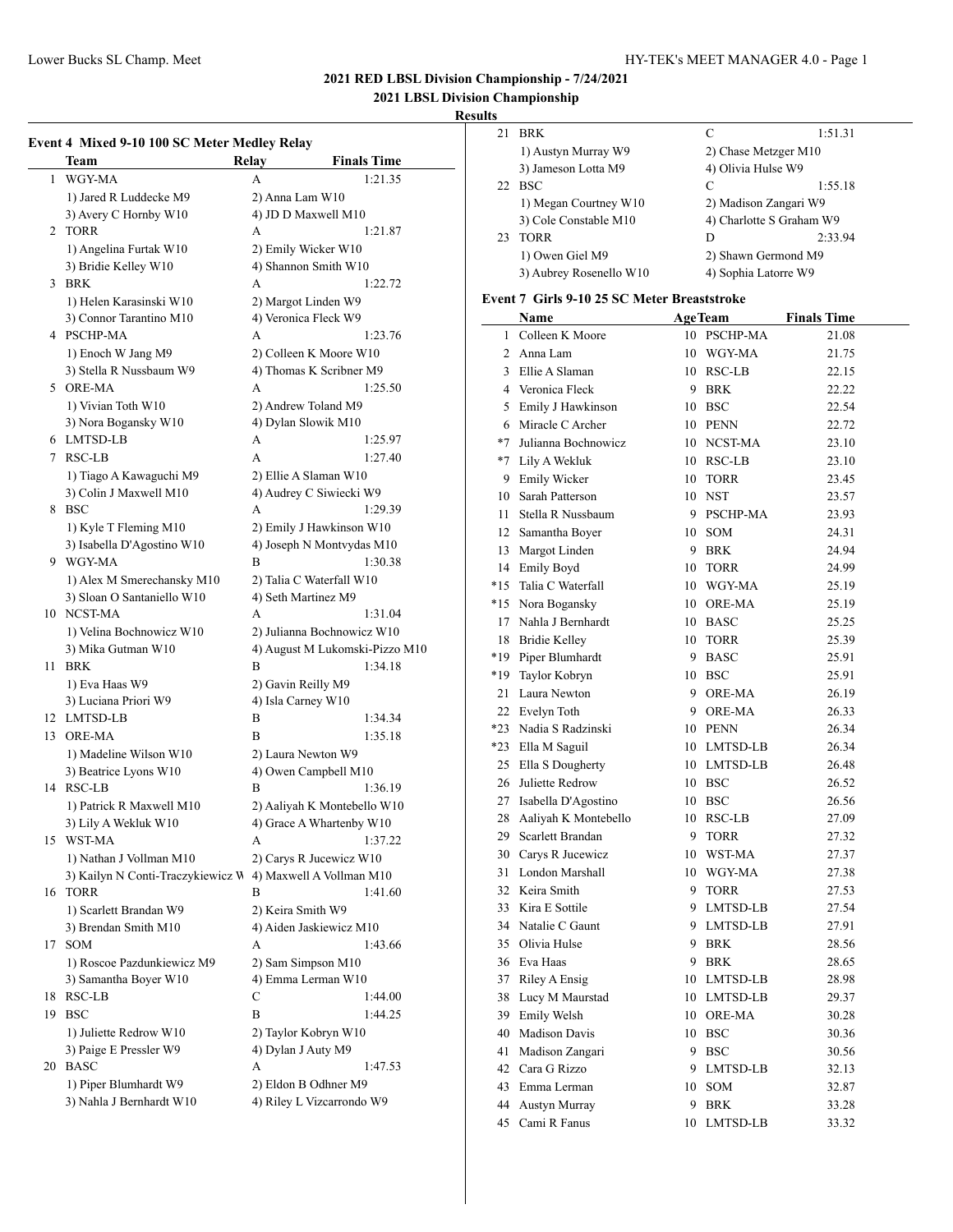### Lower Bucks SL Champ. Meet HY-TEK's MEET MANAGER 4.0 - Page 1

# **2021 RED LBSL Division Championship - 7/24/2021**

**2021 LBSL Division Championship**

### **Results**

| 21 | <b>BRK</b>              | C                     | 1:51.31                  |
|----|-------------------------|-----------------------|--------------------------|
|    | 1) Austyn Murray W9     | 2) Chase Metzger M10  |                          |
|    | 3) Jameson Lotta M9     | 4) Olivia Hulse W9    |                          |
|    | 22 BSC                  | C                     | 1:55.18                  |
|    | 1) Megan Courtney W10   | 2) Madison Zangari W9 |                          |
|    | 3) Cole Constable M10   |                       | 4) Charlotte S Graham W9 |
| 23 | <b>TORR</b>             | D                     | 2:33.94                  |
|    | 1) Owen Giel M9         | 2) Shawn Germond M9   |                          |
|    | 3) Aubrey Rosenello W10 | 4) Sophia Latorre W9  |                          |

#### **Event 7 Girls 9-10 25 SC Meter Breaststroke**

|       | Name                    |    | <b>AgeTeam</b> | <b>Finals Time</b> |
|-------|-------------------------|----|----------------|--------------------|
| 1     | Colleen K Moore         |    | 10 PSCHP-MA    | 21.08              |
| 2     | Anna Lam                |    | 10 WGY-MA      | 21.75              |
|       | 3 Ellie A Slaman        |    | 10 RSC-LB      | 22.15              |
|       | 4 Veronica Fleck        |    | 9 BRK          | 22.22              |
|       | 5 Emily J Hawkinson     |    | 10 BSC         | 22.54              |
|       | 6 Miracle C Archer      |    | 10 PENN        | 22.72              |
| $*7$  | Julianna Bochnowicz     |    | 10 NCST-MA     | 23.10              |
|       | *7 Lily A Wekluk        |    | 10 RSC-LB      | 23.10              |
| 9     | <b>Emily Wicker</b>     |    | 10 TORR        | 23.45              |
|       | 10 Sarah Patterson      |    | 10 NST         | 23.57              |
| 11    | Stella R Nussbaum       |    | 9 PSCHP-MA     | 23.93              |
|       | 12 Samantha Boyer       |    | 10 SOM         | 24.31              |
|       | 13 Margot Linden        |    | 9 BRK          | 24.94              |
|       | 14 Emily Boyd           |    | 10 TORR        | 24.99              |
| $*15$ | Talia C Waterfall       |    | 10 WGY-MA      | 25.19              |
| $*15$ | Nora Bogansky           |    | 10 ORE-MA      | 25.19              |
| 17    | Nahla J Bernhardt       |    | 10 BASC        | 25.25              |
| 18    | <b>Bridie Kelley</b>    |    | 10 TORR        | 25.39              |
| *19   | Piper Blumhardt         | 9. | <b>BASC</b>    | 25.91              |
| *19   | Taylor Kobryn           |    | 10 BSC         | 25.91              |
| 21    | Laura Newton            |    | 9 ORE-MA       | 26.19              |
|       | 22 Evelyn Toth          |    | 9 ORE-MA       | 26.33              |
|       | *23 Nadia S Radzinski   |    | 10 PENN        | 26.34              |
|       | *23 Ella M Saguil       |    | 10 LMTSD-LB    | 26.34              |
|       | 25 Ella S Dougherty     |    | 10 LMTSD-LB    | 26.48              |
|       | 26 Juliette Redrow      |    | 10 BSC         | 26.52              |
|       | 27 Isabella D'Agostino  |    | 10 BSC         | 26.56              |
|       | 28 Aaliyah K Montebello |    | 10 RSC-LB      | 27.09              |
|       | 29 Scarlett Brandan     | 9  | TORR           | 27.32              |
|       | 30 Carys R Jucewicz     |    | 10 WST-MA      | 27.37              |
|       | 31 London Marshall      |    | 10 WGY-MA      | 27.38              |
|       | 32 Keira Smith          |    | 9 TORR         | 27.53              |
|       | 33 Kira E Sottile       |    | 9 LMTSD-LB     | 27.54              |
|       | 34 Natalie C Gaunt      |    | 9 LMTSD-LB     | 27.91              |
|       | 35 Olivia Hulse         |    | 9 BRK          | 28.56              |
|       | 36 Eva Haas             | 9  | BRK            | 28.65              |
|       | 37 Riley A Ensig        |    | 10 LMTSD-LB    | 28.98              |
| 38    | Lucy M Maurstad         | 10 | LMTSD-LB       | 29.37              |
| 39    | Emily Welsh             | 10 | ORE-MA         | 30.28              |
| 40    | <b>Madison Davis</b>    | 10 | <b>BSC</b>     | 30.36              |
| 41    | Madison Zangari         | 9  | <b>BSC</b>     | 30.56              |
| 42    | Cara G Rizzo            | 9  | LMTSD-LB       | 32.13              |
| 43    | Emma Lerman             | 10 | SOM            | 32.87              |
| 44    | Austyn Murray           | 9  | <b>BRK</b>     | 33.28              |
| 45    | Cami R Fanus            |    | 10 LMTSD-LB    | 33.32              |

# **Event 4 Mixed 9-10 100 SC Meter Medley Relay**

|    | EVENt 4 MIXEG 9-TO TOO SC METER MEDICY RETAY |                            |                                |
|----|----------------------------------------------|----------------------------|--------------------------------|
|    | Team                                         | Relay                      | <b>Finals Time</b>             |
| 1  | WGY-MA                                       | A                          | 1:21.35                        |
|    | 1) Jared R Luddecke M9                       | 2) Anna Lam W10            |                                |
|    | 3) Avery C Hornby W10                        | 4) JD D Maxwell M10        |                                |
| 2  | <b>TORR</b>                                  | A                          | 1:21.87                        |
|    | 1) Angelina Furtak W10                       | 2) Emily Wicker W10        |                                |
|    | 3) Bridie Kelley W10                         | 4) Shannon Smith W10       |                                |
| 3  | <b>BRK</b>                                   | A                          | 1:22.72                        |
|    | 1) Helen Karasinski W10                      | 2) Margot Linden W9        |                                |
|    | 3) Connor Tarantino M10                      | 4) Veronica Fleck W9       |                                |
|    | 4 PSCHP-MA                                   | А                          | 1:23.76                        |
|    | 1) Enoch W Jang M9                           | 2) Colleen K Moore W10     |                                |
|    | 3) Stella R Nussbaum W9                      | 4) Thomas K Scribner M9    |                                |
| 5  | ORE-MA                                       | А                          | 1:25.50                        |
|    |                                              |                            |                                |
|    | 1) Vivian Toth W10                           | 2) Andrew Toland M9        |                                |
|    | 3) Nora Bogansky W10                         | 4) Dylan Slowik M10        |                                |
| 6  | LMTSD-LB                                     | A                          | 1:25.97                        |
| 7  | RSC-LB                                       | A                          | 1:27.40                        |
|    | 1) Tiago A Kawaguchi M9                      | 2) Ellie A Slaman W10      |                                |
|    | 3) Colin J Maxwell M10                       | 4) Audrey C Siwiecki W9    |                                |
| 8  | <b>BSC</b>                                   | А                          | 1:29.39                        |
|    | 1) Kyle T Fleming M10                        | 2) Emily J Hawkinson W10   |                                |
|    | 3) Isabella D'Agostino W10                   | 4) Joseph N Montvydas M10  |                                |
| 9  | WGY-MA                                       | B                          | 1:30.38                        |
|    | 1) Alex M Smerechansky M10                   | 2) Talia C Waterfall W10   |                                |
|    | 3) Sloan O Santaniello W10                   | 4) Seth Martinez M9        |                                |
|    | 10 NCST-MA                                   | A                          | 1:31.04                        |
|    | 1) Velina Bochnowicz W10                     | 2) Julianna Bochnowicz W10 |                                |
|    | 3) Mika Gutman W10                           |                            | 4) August M Lukomski-Pizzo M10 |
| 11 | <b>BRK</b>                                   | B                          | 1:34.18                        |
|    | 1) Eva Haas W9                               | 2) Gavin Reilly M9         |                                |
|    | 3) Luciana Priori W9                         | 4) Isla Carney W10         |                                |
| 12 | LMTSD-LB                                     | B                          | 1:34.34                        |
| 13 | ORE-MA                                       | B                          | 1:35.18                        |
|    | 1) Madeline Wilson W10                       | 2) Laura Newton W9         |                                |
|    | 3) Beatrice Lyons W10                        | 4) Owen Campbell M10       |                                |
|    | 14 RSC-LB                                    | В                          | 1:36.19                        |
|    | 1) Patrick R Maxwell M10                     |                            | 2) Aaliyah K Montebello W10    |
|    | 3) Lily A Wekluk W10                         | 4) Grace A Whartenby W10   |                                |
|    | 15 WST-MA                                    | A                          | 1:37.22                        |
|    | 1) Nathan J Vollman M10                      | 2) Carys R Jucewicz W10    |                                |
|    | 3) Kailyn N Conti-Traczykiewicz W            | 4) Maxwell A Vollman M10   |                                |
| 16 | <b>TORR</b>                                  | В                          | 1:41.60                        |
|    | 1) Scarlett Brandan W9                       | 2) Keira Smith W9          |                                |
|    | 3) Brendan Smith M10                         | 4) Aiden Jaskiewicz M10    |                                |
| 17 | <b>SOM</b>                                   |                            |                                |
|    |                                              | А                          | 1:43.66                        |
|    | 1) Roscoe Pazdunkiewicz M9                   | 2) Sam Simpson M10         |                                |
|    | 3) Samantha Boyer W10                        | 4) Emma Lerman W10         |                                |
| 18 | RSC-LB                                       | С                          | 1:44.00                        |
| 19 | <b>BSC</b>                                   | B                          | 1:44.25                        |
|    | 1) Juliette Redrow W10                       | 2) Taylor Kobryn W10       |                                |
|    | 3) Paige E Pressler W9                       | 4) Dylan J Auty M9         |                                |
| 20 | <b>BASC</b>                                  | А                          | 1:47.53                        |
|    | 1) Piper Blumhardt W9                        | 2) Eldon B Odhner M9       |                                |
|    | 3) Nahla J Bernhardt W10                     | 4) Riley L Vizcarrondo W9  |                                |
|    |                                              |                            |                                |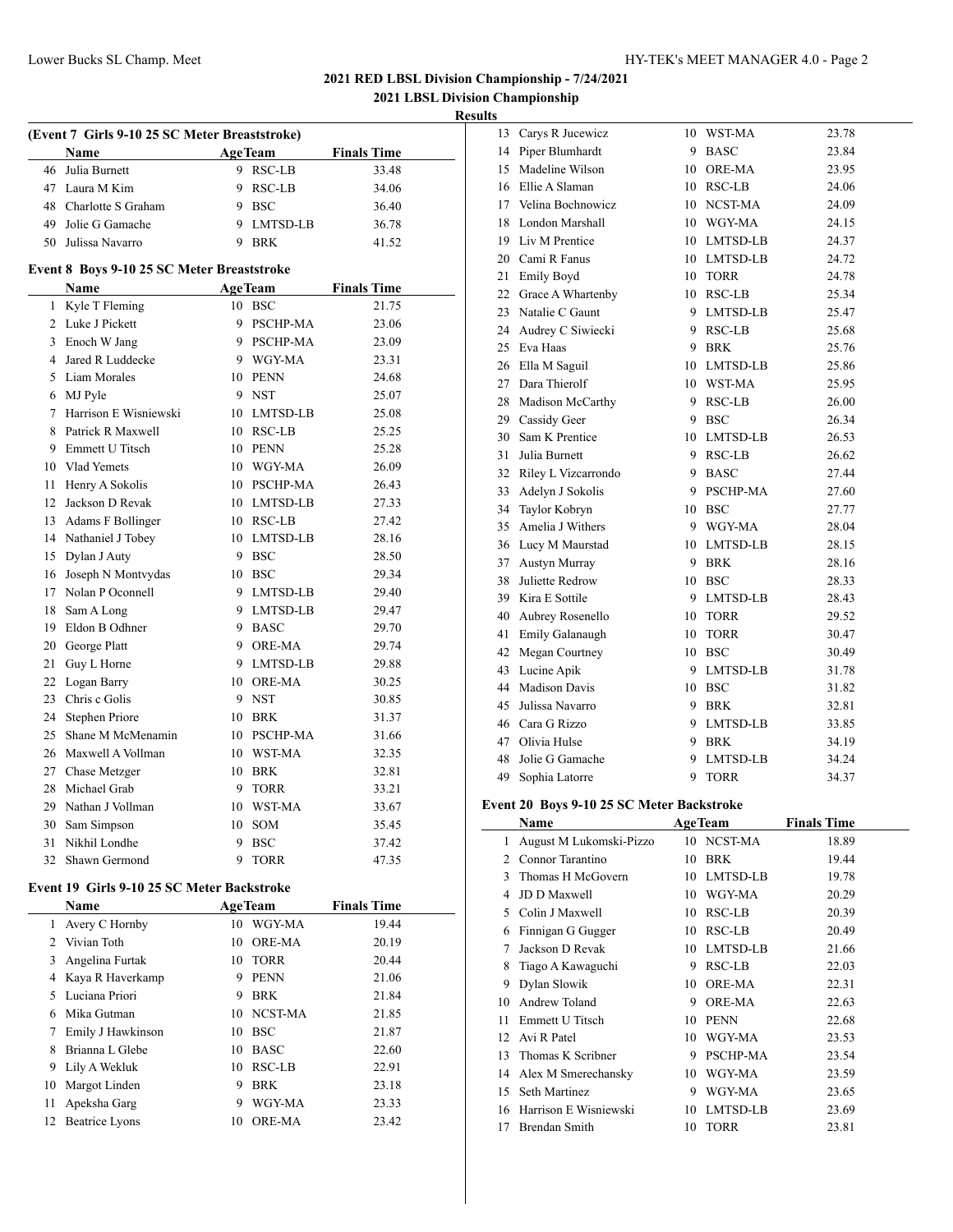**2021 LBSL Division Championship**

**Results**

|                 | (Event 7 Girls 9-10 25 SC Meter Breaststroke) |    |                |                    |  |  |  |
|-----------------|-----------------------------------------------|----|----------------|--------------------|--|--|--|
|                 | <b>Name</b>                                   |    | <b>AgeTeam</b> | <b>Finals Time</b> |  |  |  |
| 46              | Julia Burnett                                 |    | 9 RSC-LB       | 33.48              |  |  |  |
|                 | 47 Laura M Kim                                |    | 9 RSC-LB       | 34.06              |  |  |  |
|                 | 48 Charlotte S Graham                         |    | 9 BSC          | 36.40              |  |  |  |
|                 | 49 Jolie G Gamache                            |    | 9 LMTSD-LB     | 36.78              |  |  |  |
|                 | 50 Julissa Navarro                            | 9  | <b>BRK</b>     | 41.52              |  |  |  |
|                 | Event 8 Boys 9-10 25 SC Meter Breaststroke    |    |                |                    |  |  |  |
|                 | Name                                          |    | <b>AgeTeam</b> | <b>Finals Time</b> |  |  |  |
| 1               | Kyle T Fleming                                |    | $10$ BSC       | 21.75              |  |  |  |
|                 | 2 Luke J Pickett                              |    | 9 PSCHP-MA     | 23.06              |  |  |  |
|                 | 3 Enoch W Jang                                |    | 9 PSCHP-MA     | 23.09              |  |  |  |
| 4               | Jared R Luddecke                              |    | 9 WGY-MA       | 23.31              |  |  |  |
|                 | 5 Liam Morales                                |    | 10 PENN        | 24.68              |  |  |  |
|                 | 6 MJ Pyle                                     |    | 9 NST          | 25.07              |  |  |  |
| $7\phantom{.0}$ | Harrison E Wisniewski                         |    | 10 LMTSD-LB    | 25.08              |  |  |  |
| 8               | Patrick R Maxwell                             |    | 10 RSC-LB      | 25.25              |  |  |  |
| 9               | Emmett U Titsch                               |    | 10 PENN        | 25.28              |  |  |  |
| 10              | Vlad Yemets                                   |    | 10 WGY-MA      | 26.09              |  |  |  |
| 11              | Henry A Sokolis                               |    | 10 PSCHP-MA    | 26.43              |  |  |  |
|                 | 12 Jackson D Revak                            |    | 10 LMTSD-LB    | 27.33              |  |  |  |
|                 | 13 Adams F Bollinger                          |    | 10 RSC-LB      | 27.42              |  |  |  |
|                 | 14 Nathaniel J Tobey                          |    | 10 LMTSD-LB    | 28.16              |  |  |  |
|                 | 15 Dylan J Auty                               |    | 9 BSC          | 28.50              |  |  |  |
| 16              | Joseph N Montvydas                            |    | 10 BSC         | 29.34              |  |  |  |
| 17              | Nolan P Oconnell                              |    | 9 LMTSD-LB     | 29.40              |  |  |  |
| 18              | Sam A Long                                    |    | 9 LMTSD-LB     | 29.47              |  |  |  |
| 19              | Eldon B Odhner                                |    | 9 BASC         | 29.70              |  |  |  |
| 20              | George Platt                                  |    | 9 ORE-MA       | 29.74              |  |  |  |
| 21              | Guy L Horne                                   | 9  | LMTSD-LB       | 29.88              |  |  |  |
| 22              | Logan Barry                                   | 10 | ORE-MA         | 30.25              |  |  |  |
| 23              | Chris c Golis                                 | 9  | <b>NST</b>     | 30.85              |  |  |  |

|  | 21 Guy L Horne       | 9 | LMTSD-LB    | 29.88 |
|--|----------------------|---|-------------|-------|
|  | 22 Logan Barry       |   | 10 ORE-MA   | 30.25 |
|  | 23 Chris c Golis     |   | 9 NST       | 30.85 |
|  | 24 Stephen Priore    |   | 10 BRK      | 31.37 |
|  | 25 Shane M McMenamin |   | 10 PSCHP-MA | 31.66 |
|  | 26 Maxwell A Vollman |   | 10 WST-MA   | 32.35 |
|  | 27 Chase Metzger     |   | 10 BRK      | 32.81 |
|  | 28 Michael Grab      | 9 | <b>TORR</b> | 33.21 |
|  | 29 Nathan J Vollman  |   | 10 WST-MA   | 33.67 |
|  | 30 Sam Simpson       |   | 10 SOM      | 35.45 |
|  | 31 Nikhil Londhe     | 9 | <b>BSC</b>  | 37.42 |
|  | 32 Shawn Germond     |   | <b>TORR</b> | 47.35 |

### **Event 19 Girls 9-10 25 SC Meter Backstroke**

|    | <b>Name</b>       | <b>AgeTeam</b> |               | <b>Finals Time</b> |
|----|-------------------|----------------|---------------|--------------------|
|    | Avery C Hornby    | 10             | WGY-MA        | 19.44              |
|    | Vivian Toth       | 10             | <b>ORE-MA</b> | 20.19              |
| 3  | Angelina Furtak   | 10             | TORR          | 20.44              |
| 4  | Kaya R Haverkamp  | 9              | <b>PENN</b>   | 21.06              |
| 5  | Luciana Priori    | 9              | <b>BRK</b>    | 21.84              |
| 6  | Mika Gutman       |                | 10 NCST-MA    | 21.85              |
|    | Emily J Hawkinson | 10             | <b>BSC</b>    | 21.87              |
| 8  | Brianna L Glebe   | 10             | <b>BASC</b>   | 22.60              |
| 9  | Lily A Wekluk     | 10             | RSC-LB        | 22.91              |
| 10 | Margot Linden     | 9              | <b>BRK</b>    | 23.18              |
| 11 | Apeksha Garg      | 9              | WGY-MA        | 23.33              |
| 12 | Beatrice Lyons    | 10             | ORE-MA        | 23.42              |

| 13 | Carys R Jucewicz       | 10 | WST-MA        | 23.78 |
|----|------------------------|----|---------------|-------|
|    | 14 Piper Blumhardt     | 9  | <b>BASC</b>   | 23.84 |
| 15 | Madeline Wilson        | 10 | <b>ORE-MA</b> | 23.95 |
|    | 16 Ellie A Slaman      |    | 10 RSC-LB     | 24.06 |
|    | 17 Velina Bochnowicz   |    | 10 NCST-MA    | 24.09 |
| 18 | London Marshall        |    | 10 WGY-MA     | 24.15 |
|    | 19 Liv M Prentice      |    | 10 LMTSD-LB   | 24.37 |
|    | 20 Cami R Fanus        |    | 10 LMTSD-LB   | 24.72 |
| 21 | Emily Boyd             | 10 | <b>TORR</b>   | 24.78 |
|    | 22 Grace A Whartenby   | 10 | <b>RSC-LB</b> | 25.34 |
|    | 23 Natalie C Gaunt     | 9  | LMTSD-LB      | 25.47 |
|    | 24 Audrey C Siwiecki   | 9  | RSC-LB        | 25.68 |
|    | 25 Eva Haas            | 9  | <b>BRK</b>    | 25.76 |
| 26 | Ella M Saguil          | 10 | LMTSD-LB      | 25.86 |
| 27 | Dara Thierolf          | 10 | WST-MA        | 25.95 |
|    | 28 Madison McCarthy    | 9  | RSC-LB        | 26.00 |
| 29 | Cassidy Geer           | 9  | <b>BSC</b>    | 26.34 |
| 30 | Sam K Prentice         | 10 | LMTSD-LB      | 26.53 |
| 31 | Julia Burnett          | 9  | <b>RSC-LB</b> | 26.62 |
|    | 32 Riley L Vizcarrondo | 9  | <b>BASC</b>   | 27.44 |
| 33 | Adelyn J Sokolis       | 9. | PSCHP-MA      | 27.60 |
| 34 | Taylor Kobryn          | 10 | <b>BSC</b>    | 27.77 |
| 35 | Amelia J Withers       | 9  | WGY-MA        | 28.04 |
|    | 36 Lucy M Maurstad     |    | 10 LMTSD-LB   | 28.15 |
|    | 37 Austyn Murray       | 9  | <b>BRK</b>    | 28.16 |
| 38 | Juliette Redrow        |    | 10 BSC        | 28.33 |
|    | 39 Kira E Sottile      | 9  | LMTSD-LB      | 28.43 |
|    | 40 Aubrey Rosenello    |    | 10 TORR       | 29.52 |
| 41 | Emily Galanaugh        | 10 | <b>TORR</b>   | 30.47 |
| 42 | Megan Courtney         | 10 | <b>BSC</b>    | 30.49 |
| 43 | Lucine Apik            | 9  | LMTSD-LB      | 31.78 |
|    | 44 Madison Davis       | 10 | <b>BSC</b>    | 31.82 |
| 45 | Julissa Navarro        | 9  | BRK           | 32.81 |
| 46 | Cara G Rizzo           | 9  | LMTSD-LB      | 33.85 |
| 47 | Olivia Hulse           | 9  | <b>BRK</b>    | 34.19 |
| 48 | Jolie G Gamache        | 9  | LMTSD-LB      | 34.24 |
| 49 | Sophia Latorre         | 9  | <b>TORR</b>   | 34.37 |

### **Event 20 Boys 9-10 25 SC Meter Backstroke**

|    | Name                    |    | <b>AgeTeam</b>  | <b>Finals Time</b> |  |
|----|-------------------------|----|-----------------|--------------------|--|
| 1  | August M Lukomski-Pizzo |    | 10 NCST-MA      | 18.89              |  |
| 2  | Connor Tarantino        | 10 | <b>BRK</b>      | 19.44              |  |
| 3  | Thomas H McGovern       | 10 | LMTSD-LB        | 19.78              |  |
| 4  | JD D Maxwell            | 10 | WGY-MA          | 20.29              |  |
| 5. | Colin J Maxwell         | 10 | RSC-LB          | 20.39              |  |
| 6  | Finnigan G Gugger       | 10 | RSC-LB          | 20.49              |  |
| 7  | Jackson D Revak         | 10 | LMTSD-LB        | 21.66              |  |
| 8  | Tiago A Kawaguchi       | 9  | RSC-LB          | 22.03              |  |
| 9  | Dylan Slowik            | 10 | <b>ORE-MA</b>   | 22.31              |  |
| 10 | Andrew Toland           | 9  | <b>ORE-MA</b>   | 22.63              |  |
| 11 | Emmett U Titsch         | 10 | <b>PENN</b>     | 22.68              |  |
| 12 | Avi R Patel             | 10 | WGY-MA          | 23.53              |  |
| 13 | Thomas K Scribner       | 9  | <b>PSCHP-MA</b> | 23.54              |  |
| 14 | Alex M Smerechansky     | 10 | WGY-MA          | 23.59              |  |
| 15 | Seth Martinez           | 9  | WGY-MA          | 23.65              |  |
| 16 | Harrison E Wisniewski   | 10 | LMTSD-LB        | 23.69              |  |
| 17 | Brendan Smith           | 10 | <b>TORR</b>     | 23.81              |  |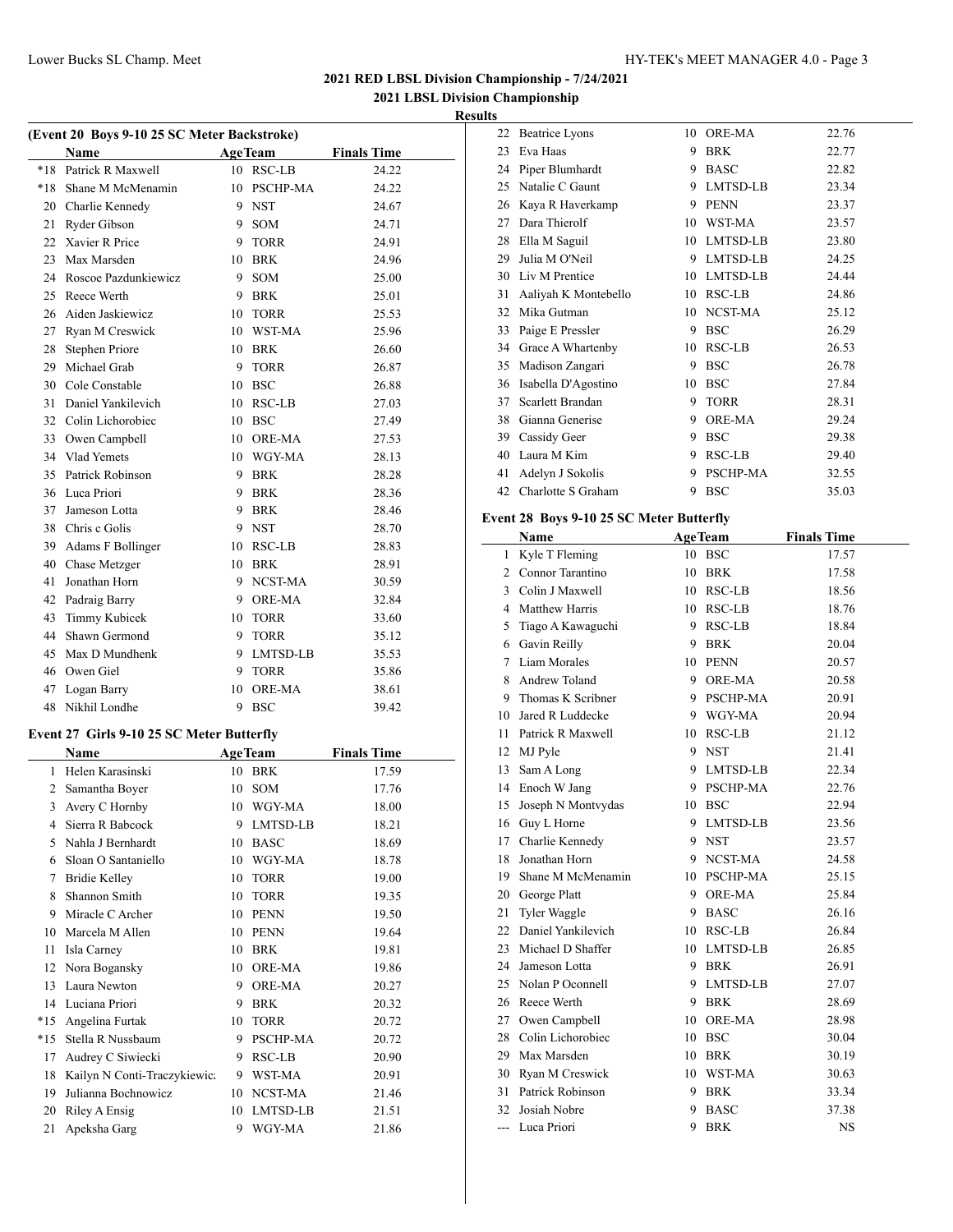**2021 LBSL Division Championship Results**

 $\overline{\phantom{a}}$ 

| (Event 20 Boys 9-10 25 SC Meter Backstroke) |                                           |                |                |                    |  |
|---------------------------------------------|-------------------------------------------|----------------|----------------|--------------------|--|
|                                             | <b>Name</b>                               | <b>AgeTeam</b> |                | <b>Finals Time</b> |  |
| *18                                         | Patrick R Maxwell                         |                | 10 RSC-LB      | 24.22              |  |
| *18                                         | Shane M McMenamin                         |                | 10 PSCHP-MA    | 24.22              |  |
|                                             | 20 Charlie Kennedy                        |                | 9 NST          | 24.67              |  |
| 21                                          | Ryder Gibson                              |                | 9 SOM          | 24.71              |  |
|                                             | 22 Xavier R Price                         |                | 9 TORR         | 24.91              |  |
|                                             | 23 Max Marsden                            |                | 10 BRK         | 24.96              |  |
|                                             | 24 Roscoe Pazdunkiewicz                   |                | 9 SOM          | 25.00              |  |
|                                             | 25 Reece Werth                            |                | 9 BRK          | 25.01              |  |
|                                             | 26 Aiden Jaskiewicz                       |                | 10 TORR        | 25.53              |  |
| 27                                          | Ryan M Creswick                           |                | 10 WST-MA      | 25.96              |  |
|                                             | 28 Stephen Priore                         |                | 10 BRK         | 26.60              |  |
| 29                                          | Michael Grab                              |                | 9 TORR         | 26.87              |  |
| 30                                          | Cole Constable                            |                | 10 BSC         | 26.88              |  |
| 31                                          | Daniel Yankilevich                        |                | 10 RSC-LB      | 27.03              |  |
|                                             | 32 Colin Lichorobiec                      |                | 10 BSC         | 27.49              |  |
|                                             | 33 Owen Campbell                          |                | 10 ORE-MA      | 27.53              |  |
|                                             | 34 Vlad Yemets                            |                | 10 WGY-MA      | 28.13              |  |
|                                             | 35 Patrick Robinson                       |                | 9 BRK          | 28.28              |  |
|                                             | 36 Luca Priori                            |                | 9 BRK          | 28.36              |  |
|                                             | 37 Jameson Lotta                          |                | 9 BRK          | 28.46              |  |
|                                             | 38 Chris c Golis                          |                | 9 NST          | 28.70              |  |
|                                             | 39 Adams F Bollinger                      |                | 10 RSC-LB      | 28.83              |  |
| 40                                          | Chase Metzger                             |                | 10 BRK         | 28.91              |  |
| 41                                          | Jonathan Horn                             |                | 9 NCST-MA      | 30.59              |  |
| 42                                          | Padraig Barry                             |                | 9 ORE-MA       | 32.84              |  |
| 43                                          | Timmy Kubicek                             |                | 10 TORR        | 33.60              |  |
|                                             | 44 Shawn Germond                          |                | 9 TORR         | 35.12              |  |
|                                             | 45 Max D Mundhenk                         |                | 9 LMTSD-LB     | 35.53              |  |
|                                             | 46 Owen Giel                              |                | 9 TORR         | 35.86              |  |
| 47                                          | Logan Barry                               |                | 10 ORE-MA      | 38.61              |  |
|                                             | 48 Nikhil Londhe                          |                | 9 BSC          | 39.42              |  |
|                                             |                                           |                |                |                    |  |
|                                             | Event 27 Girls 9-10 25 SC Meter Butterfly |                |                |                    |  |
|                                             | Name                                      |                | <b>AgeTeam</b> | <b>Finals Time</b> |  |
|                                             | 1 Helen Karasinski                        |                | 10 BRK         | 17.59              |  |
|                                             | 2 Samantha Boyer                          | 10             | SOM            | 17.76              |  |
| 3                                           | Avery C Hornby                            |                | 10 WGY-MA      | 18.00              |  |
| 4                                           | Sierra R Babcock                          | 9              | LMTSD-LB       | 18.21              |  |
| 5                                           | Nahla J Bernhardt                         | 10             | <b>BASC</b>    | 18.69              |  |
| 6                                           | Sloan O Santaniello                       |                | 10 WGY-MA      | 18.78              |  |
| 7                                           | <b>Bridie Kelley</b>                      |                | 10 TORR        | 19.00              |  |
| 8                                           | Shannon Smith                             |                | 10 TORR        | 19.35              |  |
| 9                                           | Miracle C Archer                          |                | 10 PENN        | 19.50              |  |
| 10                                          | Marcela M Allen                           |                | 10 PENN        | 19.64              |  |
| 11                                          | Isla Carney                               |                | 10 BRK         | 19.81              |  |
| 12                                          | Nora Bogansky                             |                | 10 ORE-MA      | 19.86              |  |
| 13                                          | Laura Newton                              |                | 9 ORE-MA       | 20.27              |  |
| 14                                          | Luciana Priori                            |                | 9 BRK          | 20.32              |  |
| *15                                         | Angelina Furtak                           | 10             | <b>TORR</b>    | 20.72              |  |
| *15                                         | Stella R Nussbaum                         |                | 9 PSCHP-MA     | 20.72              |  |
| 17                                          | Audrey C Siwiecki                         |                | 9 RSC-LB       | 20.90              |  |
| 18                                          | Kailyn N Conti-Traczykiewic:              |                | 9 WST-MA       | 20.91              |  |
| 19                                          | Julianna Bochnowicz                       |                | 10 NCST-MA     | 21.46              |  |
| 20                                          | Riley A Ensig                             |                | 10 LMTSD-LB    | 21.51              |  |
| 21                                          | Apeksha Garg                              | 9              | WGY-MA         | 21.86              |  |

| 22 | Beatrice Lyons       | 10 | ORE-MA          | 22.76 |
|----|----------------------|----|-----------------|-------|
| 23 | Eva Haas             | 9  | <b>BRK</b>      | 22.77 |
| 24 | Piper Blumhardt      | 9  | <b>BASC</b>     | 22.82 |
| 25 | Natalie C Gaunt      | 9  | <b>LMTSD-LB</b> | 23.34 |
| 26 | Kaya R Haverkamp     | 9  | <b>PENN</b>     | 23.37 |
| 27 | Dara Thierolf        | 10 | WST-MA          | 23.57 |
| 28 | Ella M Saguil        | 10 | LMTSD-LB        | 23.80 |
| 29 | Julia M O'Neil       | 9  | LMTSD-LB        | 24.25 |
| 30 | Liv M Prentice       | 10 | LMTSD-LB        | 24.44 |
| 31 | Aaliyah K Montebello | 10 | RSC-LB          | 24.86 |
| 32 | Mika Gutman          | 10 | NCST-MA         | 25.12 |
| 33 | Paige E Pressler     | 9  | <b>BSC</b>      | 26.29 |
| 34 | Grace A Whartenby    | 10 | RSC-LB          | 26.53 |
| 35 | Madison Zangari      | 9  | <b>BSC</b>      | 26.78 |
| 36 | Isabella D'Agostino  | 10 | <b>BSC</b>      | 27.84 |
| 37 | Scarlett Brandan     | 9  | <b>TORR</b>     | 28.31 |
| 38 | Gianna Generise      | 9  | <b>ORE-MA</b>   | 29.24 |
| 39 | Cassidy Geer         | 9  | <b>BSC</b>      | 29.38 |
| 40 | Laura M Kim          | 9  | RSC-LB          | 29.40 |
| 41 | Adelyn J Sokolis     | 9  | PSCHP-MA        | 32.55 |
| 42 | Charlotte S Graham   | 9  | <b>BSC</b>      | 35.03 |
|    |                      |    |                 |       |

# **Event 28 Boys 9-10 25 SC Meter Butterfly**

|     | Name                  |    | <b>AgeTeam</b>  | <b>Finals Time</b> |
|-----|-----------------------|----|-----------------|--------------------|
| 1   | Kyle T Fleming        |    | 10 BSC          | 17.57              |
| 2   | Connor Tarantino      | 10 | <b>BRK</b>      | 17.58              |
| 3   | Colin J Maxwell       | 10 | RSC-LB          | 18.56              |
| 4   | <b>Matthew Harris</b> | 10 | RSC-LB          | 18.76              |
| 5   | Tiago A Kawaguchi     | 9  | RSC-LB          | 18.84              |
| 6   | Gavin Reilly          | 9  | <b>BRK</b>      | 20.04              |
| 7   | <b>Liam Morales</b>   | 10 | <b>PENN</b>     | 20.57              |
| 8   | Andrew Toland         | 9  | <b>ORE-MA</b>   | 20.58              |
| 9   | Thomas K Scribner     | 9  | <b>PSCHP-MA</b> | 20.91              |
| 10  | Jared R Luddecke      |    | 9 WGY-MA        | 20.94              |
| 11  | Patrick R Maxwell     | 10 | RSC-LB          | 21.12              |
| 12  | MJ Pyle               | 9  | <b>NST</b>      | 21.41              |
| 13  | Sam A Long            | 9  | LMTSD-LB        | 22.34              |
|     | 14 Enoch W Jang       |    | 9 PSCHP-MA      | 22.76              |
| 15  | Joseph N Montvydas    | 10 | <b>BSC</b>      | 22.94              |
| 16  | Guy L Horne           | 9  | LMTSD-LB        | 23.56              |
| 17  | Charlie Kennedy       | 9  | <b>NST</b>      | 23.57              |
| 18  | Jonathan Horn         | 9  | NCST-MA         | 24.58              |
|     | 19 Shane M McMenamin  | 10 | PSCHP-MA        | 25.15              |
|     | 20 George Platt       | 9  | <b>ORE-MA</b>   | 25.84              |
| 21  | <b>Tyler Waggle</b>   | 9  | <b>BASC</b>     | 26.16              |
| 22  | Daniel Yankilevich    | 10 | RSC-LB          | 26.84              |
| 23  | Michael D Shaffer     | 10 | LMTSD-LB        | 26.85              |
| 24  | Jameson Lotta         | 9  | BRK             | 26.91              |
| 25  | Nolan P Oconnell      | 9  | LMTSD-LB        | 27.07              |
| 26  | Reece Werth           | 9  | <b>BRK</b>      | 28.69              |
| 27  | Owen Campbell         | 10 | <b>ORE-MA</b>   | 28.98              |
|     | 28 Colin Lichorobiec  | 10 | <b>BSC</b>      | 30.04              |
| 29  | Max Marsden           | 10 | BRK             | 30.19              |
|     | 30 Ryan M Creswick    | 10 | WST-MA          | 30.63              |
| 31  | Patrick Robinson      | 9  | <b>BRK</b>      | 33.34              |
| 32  | Josiah Nobre          | 9  | <b>BASC</b>     | 37.38              |
| --- | Luca Priori           | 9  | <b>BRK</b>      | <b>NS</b>          |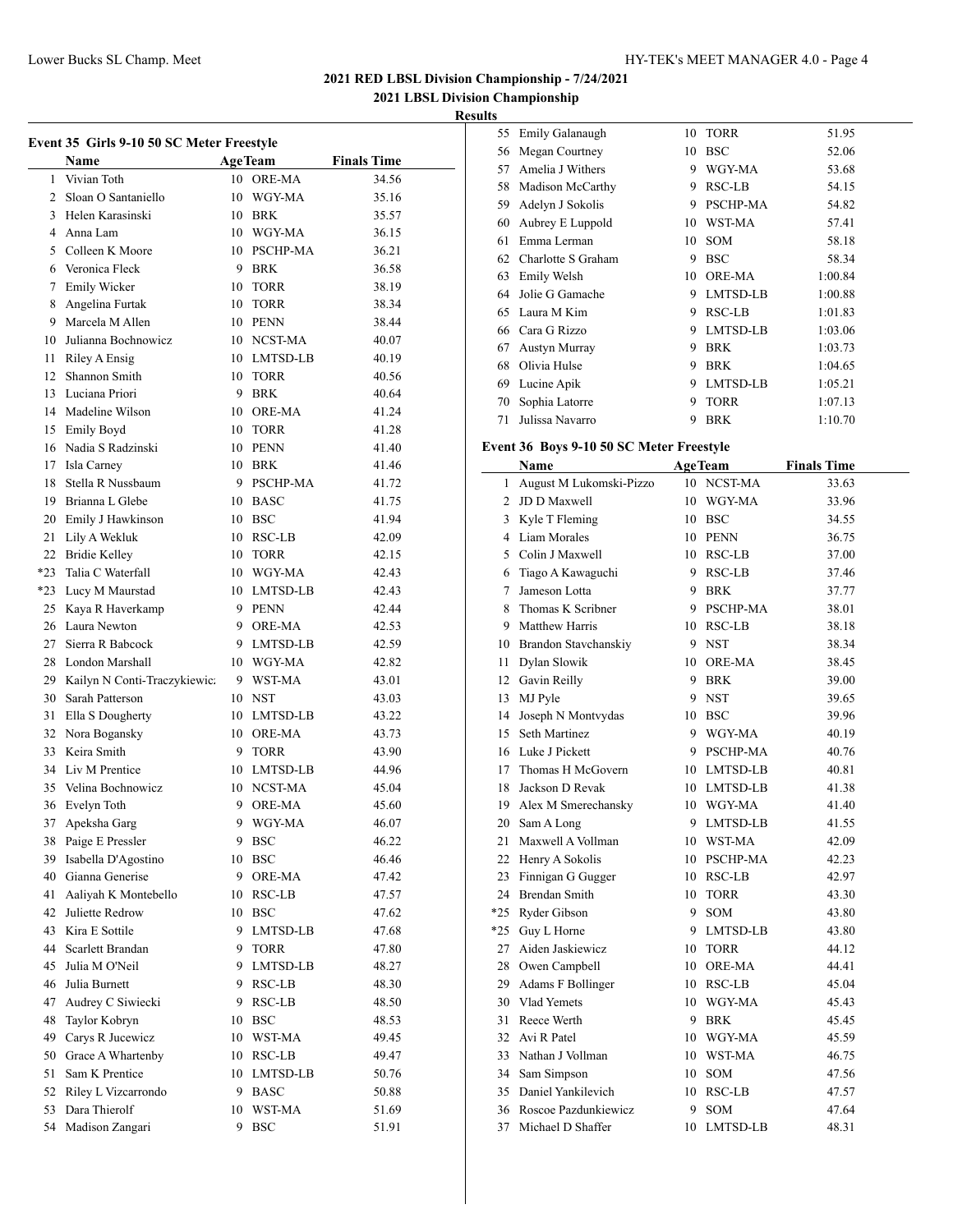**2021 LBSL Division Championship**

### **Results**

l,

| Event 35 Girls 9-10 50 SC Meter Freestyle |                                 |    |                |                    |  |  |
|-------------------------------------------|---------------------------------|----|----------------|--------------------|--|--|
|                                           | <b>Name</b>                     |    | <b>AgeTeam</b> | <b>Finals Time</b> |  |  |
| 1                                         | Vivian Toth                     |    | 10 ORE-MA      | 34.56              |  |  |
|                                           | 2 Sloan O Santaniello           |    | 10 WGY-MA      | 35.16              |  |  |
|                                           | 3 Helen Karasinski              |    | 10 BRK         | 35.57              |  |  |
|                                           | 4 Anna Lam                      |    | 10 WGY-MA      | 36.15              |  |  |
|                                           | 5 Colleen K Moore               |    | 10 PSCHP-MA    | 36.21              |  |  |
|                                           | 6 Veronica Fleck                |    | 9 BRK          | 36.58              |  |  |
|                                           | 7 Emily Wicker                  |    | 10 TORR        | 38.19              |  |  |
|                                           | 8 Angelina Furtak               |    | 10 TORR        | 38.34              |  |  |
|                                           | 9 Marcela M Allen               |    | 10 PENN        | 38.44              |  |  |
|                                           | 10 Julianna Bochnowicz          |    | 10 NCST-MA     | 40.07              |  |  |
| 11                                        | Riley A Ensig                   |    | 10 LMTSD-LB    | 40.19              |  |  |
|                                           | 12 Shannon Smith                |    | 10 TORR        | 40.56              |  |  |
|                                           | 13 Luciana Priori               |    | 9 BRK          | 40.64              |  |  |
|                                           | 14 Madeline Wilson              |    | 10 ORE-MA      | 41.24              |  |  |
|                                           | 15 Emily Boyd                   |    | 10 TORR        | 41.28              |  |  |
|                                           | 16 Nadia S Radzinski            |    | 10 PENN        | 41.40              |  |  |
|                                           | 17 Isla Carney                  |    | 10 BRK         | 41.46              |  |  |
|                                           | 18 Stella R Nussbaum            |    | 9 PSCHP-MA     | 41.72              |  |  |
|                                           | 19 Brianna L Glebe              |    | 10 BASC        | 41.75              |  |  |
|                                           | 20 Emily J Hawkinson            |    | 10 BSC         | 41.94              |  |  |
| 21                                        | Lily A Wekluk                   |    | 10 RSC-LB      | 42.09              |  |  |
|                                           | 22 Bridie Kelley                |    | 10 TORR        | 42.15              |  |  |
| $*23$                                     | Talia C Waterfall               |    | 10 WGY-MA      | 42.43              |  |  |
|                                           | *23 Lucy M Maurstad             |    | 10 LMTSD-LB    | 42.43              |  |  |
|                                           | 25 Kaya R Haverkamp             |    | 9 PENN         | 42.44              |  |  |
|                                           | 26 Laura Newton                 |    | 9 ORE-MA       | 42.53              |  |  |
|                                           | 27 Sierra R Babcock             |    | 9 LMTSD-LB     | 42.59              |  |  |
|                                           | 28 London Marshall              |    | 10 WGY-MA      | 42.82              |  |  |
|                                           | 29 Kailyn N Conti-Traczykiewic: |    | 9 WST-MA       | 43.01              |  |  |
|                                           | 30 Sarah Patterson              |    | 10 NST         | 43.03              |  |  |
| 31                                        | Ella S Dougherty                |    | 10 LMTSD-LB    | 43.22              |  |  |
|                                           | 32 Nora Bogansky                |    | 10 ORE-MA      | 43.73              |  |  |
|                                           | 33 Keira Smith                  |    | 9 TORR         | 43.90              |  |  |
|                                           | 34 Liv M Prentice               |    | 10 LMTSD-LB    | 44.96              |  |  |
|                                           | 35 Velina Bochnowicz            |    | 10 NCST-MA     | 45.04              |  |  |
|                                           | 36 Evelyn Toth                  |    | 9 ORE-MA       | 45.60              |  |  |
| 37                                        | Apeksha Garg                    | 9  | WGY-MA         | 46.07              |  |  |
|                                           | 38 Paige E Pressler             | 9  | <b>BSC</b>     | 46.22              |  |  |
| 39                                        | Isabella D'Agostino             |    | 10 BSC         | 46.46              |  |  |
|                                           | 40 Gianna Generise              |    | 9 ORE-MA       | 47.42              |  |  |
| 41                                        | Aaliyah K Montebello            |    | 10 RSC-LB      | 47.57              |  |  |
| 42                                        | Juliette Redrow                 |    | 10 BSC         | 47.62              |  |  |
| 43                                        | Kira E Sottile                  |    | 9 LMTSD-LB     | 47.68              |  |  |
|                                           | 44 Scarlett Brandan             |    | 9 TORR         | 47.80              |  |  |
| 45                                        | Julia M O'Neil                  |    | 9 LMTSD-LB     | 48.27              |  |  |
| 46                                        | Julia Burnett                   |    | 9 RSC-LB       | 48.30              |  |  |
| 47                                        | Audrey C Siwiecki               |    | 9 RSC-LB       | 48.50              |  |  |
| 48                                        | Taylor Kobryn                   |    | 10 BSC         | 48.53              |  |  |
| 49                                        | Carys R Jucewicz                |    | 10 WST-MA      | 49.45              |  |  |
|                                           | 50 Grace A Whartenby            |    | 10 RSC-LB      | 49.47              |  |  |
| 51                                        | Sam K Prentice                  |    | 10 LMTSD-LB    | 50.76              |  |  |
|                                           | 52 Riley L Vizcarrondo          |    | 9 BASC         | 50.88              |  |  |
| 53                                        | Dara Thierolf                   |    | 10 WST-MA      | 51.69              |  |  |
|                                           | 54 Madison Zangari              | 9. | <b>BSC</b>     | 51.91              |  |  |

| 55 | Emily Galanaugh    | 10 | <b>TORR</b>   | 51.95   |
|----|--------------------|----|---------------|---------|
| 56 | Megan Courtney     | 10 | <b>BSC</b>    | 52.06   |
| 57 | Amelia J Withers   | 9  | WGY-MA        | 53.68   |
| 58 | Madison McCarthy   | 9  | RSC-LB        | 54.15   |
| 59 | Adelyn J Sokolis   | 9  | PSCHP-MA      | 54.82   |
| 60 | Aubrey E Luppold   | 10 | WST-MA        | 57.41   |
| 61 | Emma Lerman        | 10 | <b>SOM</b>    | 58.18   |
| 62 | Charlotte S Graham | 9  | <b>BSC</b>    | 58.34   |
| 63 | Emily Welsh        | 10 | <b>ORE-MA</b> | 1:00.84 |
| 64 | Jolie G Gamache    | 9  | LMTSD-LB      | 1:00.88 |
| 65 | Laura M Kim        | 9  | RSC-LB        | 1:01.83 |
| 66 | Cara G Rizzo       | 9  | LMTSD-LB      | 1:03.06 |
| 67 | Austyn Murray      | 9  | <b>BRK</b>    | 1:03.73 |
| 68 | Olivia Hulse       | 9  | <b>BRK</b>    | 1:04.65 |
| 69 | Lucine Apik        | 9  | LMTSD-LB      | 1:05.21 |
| 70 | Sophia Latorre     | 9  | <b>TORR</b>   | 1:07.13 |
| 71 | Julissa Navarro    | 9  | <b>BRK</b>    | 1:10.70 |

# **Event 36 Boys 9-10 50 SC Meter Freestyle**

|                | Name                    | <b>AgeTeam</b> |             | <b>Finals Time</b> |
|----------------|-------------------------|----------------|-------------|--------------------|
| $\mathbf{1}$   | August M Lukomski-Pizzo |                | 10 NCST-MA  | 33.63              |
| $\overline{2}$ | JD D Maxwell            |                | 10 WGY-MA   | 33.96              |
|                | 3 Kyle T Fleming        |                | 10 BSC      | 34.55              |
|                | 4 Liam Morales          |                | 10 PENN     | 36.75              |
| 5              | Colin J Maxwell         |                | 10 RSC-LB   | 37.00              |
| 6              | Tiago A Kawaguchi       |                | 9 RSC-LB    | 37.46              |
| 7              | Jameson Lotta           |                | 9 BRK       | 37.77              |
| 8              | Thomas K Scribner       |                | 9 PSCHP-MA  | 38.01              |
| 9              | Matthew Harris          |                | 10 RSC-LB   | 38.18              |
|                | 10 Brandon Stavchanskiy |                | 9 NST       | 38.34              |
| 11             | Dylan Slowik            |                | 10 ORE-MA   | 38.45              |
|                | 12 Gavin Reilly         |                | 9 BRK       | 39.00              |
| 13             | MJ Pyle                 | 9              | <b>NST</b>  | 39.65              |
| 14             | Joseph N Montvydas      |                | 10 BSC      | 39.96              |
| 15             | Seth Martinez           |                | 9 WGY-MA    | 40.19              |
|                | 16 Luke J Pickett       |                | 9 PSCHP-MA  | 40.76              |
| 17             | Thomas H McGovern       |                | 10 LMTSD-LB | 40.81              |
| 18             | Jackson D Revak         |                | 10 LMTSD-LB | 41.38              |
| 19             | Alex M Smerechansky     |                | 10 WGY-MA   | 41.40              |
| 20             | Sam A Long              |                | 9 LMTSD-LB  | 41.55              |
| 21             | Maxwell A Vollman       |                | 10 WST-MA   | 42.09              |
| 22             | Henry A Sokolis         |                | 10 PSCHP-MA | 42.23              |
| 23             | Finnigan G Gugger       |                | 10 RSC-LB   | 42.97              |
|                | 24 Brendan Smith        |                | 10 TORR     | 43.30              |
|                | *25 Ryder Gibson        |                | 9 SOM       | 43.80              |
| $*25$          | Guy L Horne             |                | 9 LMTSD-LB  | 43.80              |
| 27             | Aiden Jaskiewicz        | 10             | TORR        | 44.12              |
| 28             | Owen Campbell           |                | 10 ORE-MA   | 44.41              |
| 29             | Adams F Bollinger       |                | 10 RSC-LB   | 45.04              |
|                | 30 Vlad Yemets          |                | 10 WGY-MA   | 45.43              |
| 31             | Reece Werth             |                | 9 BRK       | 45.45              |
| 32             | Avi R Patel             |                | 10 WGY-MA   | 45.59              |
|                | 33 Nathan J Vollman     |                | 10 WST-MA   | 46.75              |
| 34             | Sam Simpson             |                | 10 SOM      | 47.56              |
| 35             | Daniel Yankilevich      |                | 10 RSC-LB   | 47.57              |
|                | 36 Roscoe Pazdunkiewicz | 9.             | SOM         | 47.64              |
| 37             | Michael D Shaffer       |                | 10 LMTSD-LB | 48.31              |